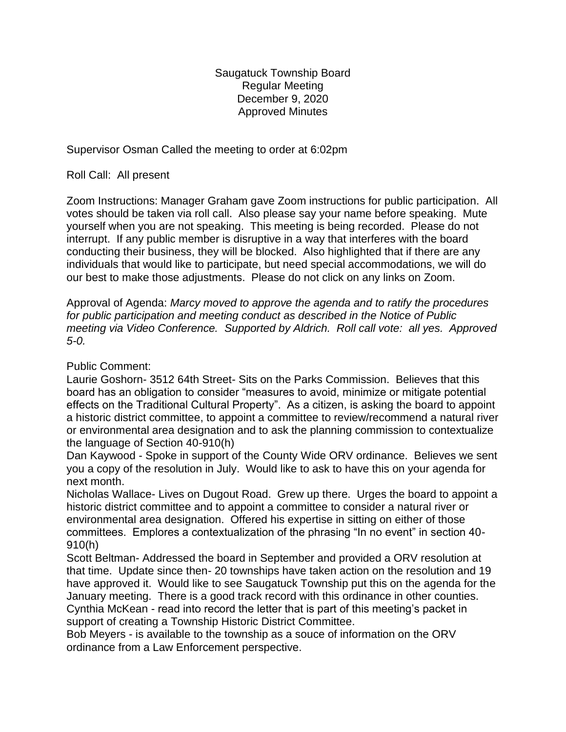Saugatuck Township Board Regular Meeting December 9, 2020 Approved Minutes

Supervisor Osman Called the meeting to order at 6:02pm

Roll Call: All present

Zoom Instructions: Manager Graham gave Zoom instructions for public participation. All votes should be taken via roll call. Also please say your name before speaking. Mute yourself when you are not speaking. This meeting is being recorded. Please do not interrupt. If any public member is disruptive in a way that interferes with the board conducting their business, they will be blocked. Also highlighted that if there are any individuals that would like to participate, but need special accommodations, we will do our best to make those adjustments. Please do not click on any links on Zoom.

Approval of Agenda: *Marcy moved to approve the agenda and to ratify the procedures for public participation and meeting conduct as described in the Notice of Public meeting via Video Conference. Supported by Aldrich. Roll call vote: all yes. Approved 5-0.*

Public Comment:

Laurie Goshorn- 3512 64th Street- Sits on the Parks Commission. Believes that this board has an obligation to consider "measures to avoid, minimize or mitigate potential effects on the Traditional Cultural Property". As a citizen, is asking the board to appoint a historic district committee, to appoint a committee to review/recommend a natural river or environmental area designation and to ask the planning commission to contextualize the language of Section 40-910(h)

Dan Kaywood - Spoke in support of the County Wide ORV ordinance. Believes we sent you a copy of the resolution in July. Would like to ask to have this on your agenda for next month.

Nicholas Wallace- Lives on Dugout Road. Grew up there. Urges the board to appoint a historic district committee and to appoint a committee to consider a natural river or environmental area designation. Offered his expertise in sitting on either of those committees. Emplores a contextualization of the phrasing "In no event" in section 40- 910(h)

Scott Beltman- Addressed the board in September and provided a ORV resolution at that time. Update since then- 20 townships have taken action on the resolution and 19 have approved it. Would like to see Saugatuck Township put this on the agenda for the January meeting. There is a good track record with this ordinance in other counties. Cynthia McKean - read into record the letter that is part of this meeting's packet in support of creating a Township Historic District Committee.

Bob Meyers - is available to the township as a souce of information on the ORV ordinance from a Law Enforcement perspective.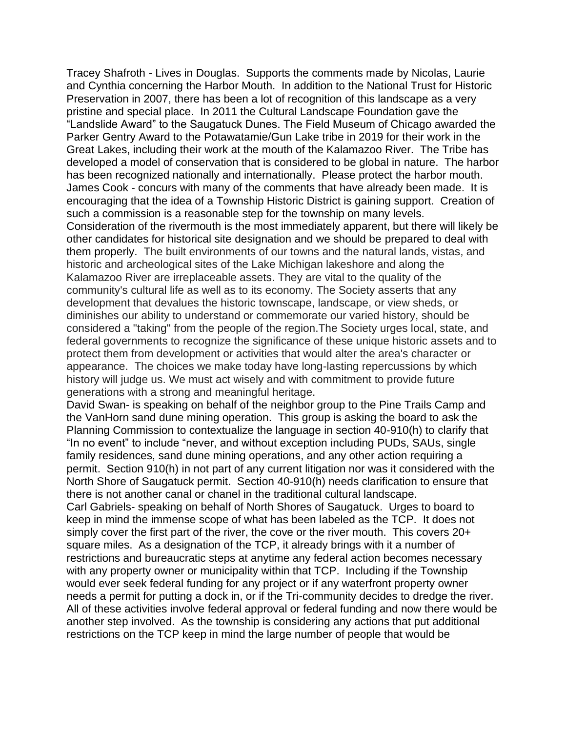Tracey Shafroth - Lives in Douglas. Supports the comments made by Nicolas, Laurie and Cynthia concerning the Harbor Mouth. In addition to the National Trust for Historic Preservation in 2007, there has been a lot of recognition of this landscape as a very pristine and special place. In 2011 the Cultural Landscape Foundation gave the "Landslide Award" to the Saugatuck Dunes. The Field Museum of Chicago awarded the Parker Gentry Award to the Potawatamie/Gun Lake tribe in 2019 for their work in the Great Lakes, including their work at the mouth of the Kalamazoo River. The Tribe has developed a model of conservation that is considered to be global in nature. The harbor has been recognized nationally and internationally. Please protect the harbor mouth. James Cook - concurs with many of the comments that have already been made. It is encouraging that the idea of a Township Historic District is gaining support. Creation of such a commission is a reasonable step for the township on many levels. Consideration of the rivermouth is the most immediately apparent, but there will likely be other candidates for historical site designation and we should be prepared to deal with them properly. The built environments of our towns and the natural lands, vistas, and historic and archeological sites of the Lake Michigan lakeshore and along the Kalamazoo River are irreplaceable assets. They are vital to the quality of the community's cultural life as well as to its economy. The Society asserts that any development that devalues the historic townscape, landscape, or view sheds, or diminishes our ability to understand or commemorate our varied history, should be considered a "taking" from the people of the region.The Society urges local, state, and federal governments to recognize the significance of these unique historic assets and to protect them from development or activities that would alter the area's character or appearance. The choices we make today have long-lasting repercussions by which history will judge us. We must act wisely and with commitment to provide future generations with a strong and meaningful heritage.

David Swan- is speaking on behalf of the neighbor group to the Pine Trails Camp and the VanHorn sand dune mining operation. This group is asking the board to ask the Planning Commission to contextualize the language in section 40-910(h) to clarify that "In no event" to include "never, and without exception including PUDs, SAUs, single family residences, sand dune mining operations, and any other action requiring a permit. Section 910(h) in not part of any current litigation nor was it considered with the North Shore of Saugatuck permit. Section 40-910(h) needs clarification to ensure that there is not another canal or chanel in the traditional cultural landscape.

Carl Gabriels- speaking on behalf of North Shores of Saugatuck. Urges to board to keep in mind the immense scope of what has been labeled as the TCP. It does not simply cover the first part of the river, the cove or the river mouth. This covers 20+ square miles. As a designation of the TCP, it already brings with it a number of restrictions and bureaucratic steps at anytime any federal action becomes necessary with any property owner or municipality within that TCP. Including if the Township would ever seek federal funding for any project or if any waterfront property owner needs a permit for putting a dock in, or if the Tri-community decides to dredge the river. All of these activities involve federal approval or federal funding and now there would be another step involved. As the township is considering any actions that put additional restrictions on the TCP keep in mind the large number of people that would be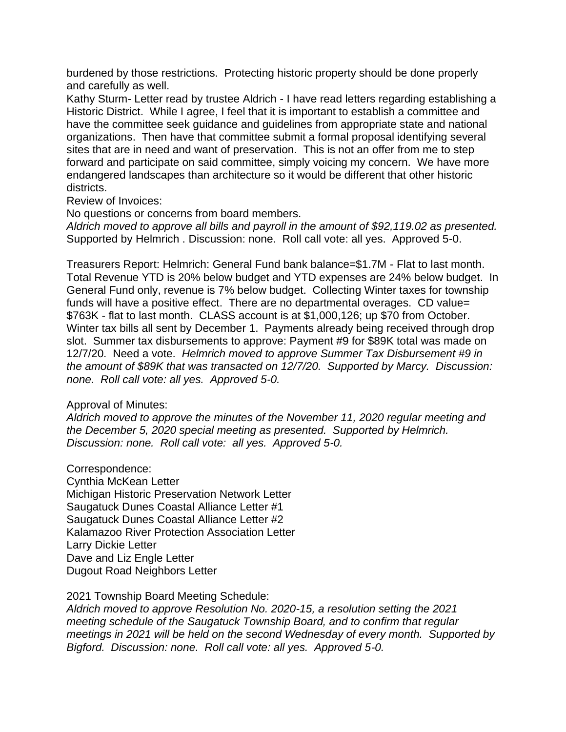burdened by those restrictions. Protecting historic property should be done properly and carefully as well.

Kathy Sturm- Letter read by trustee Aldrich - I have read letters regarding establishing a Historic District. While I agree, I feel that it is important to establish a committee and have the committee seek guidance and guidelines from appropriate state and national organizations. Then have that committee submit a formal proposal identifying several sites that are in need and want of preservation. This is not an offer from me to step forward and participate on said committee, simply voicing my concern. We have more endangered landscapes than architecture so it would be different that other historic districts.

Review of Invoices:

No questions or concerns from board members.

*Aldrich moved to approve all bills and payroll in the amount of \$92,119.02 as presented.* Supported by Helmrich . Discussion: none. Roll call vote: all yes. Approved 5-0.

Treasurers Report: Helmrich: General Fund bank balance=\$1.7M - Flat to last month. Total Revenue YTD is 20% below budget and YTD expenses are 24% below budget. In General Fund only, revenue is 7% below budget. Collecting Winter taxes for township funds will have a positive effect. There are no departmental overages. CD value= \$763K - flat to last month. CLASS account is at \$1,000,126; up \$70 from October. Winter tax bills all sent by December 1. Payments already being received through drop slot. Summer tax disbursements to approve: Payment #9 for \$89K total was made on 12/7/20. Need a vote. *Helmrich moved to approve Summer Tax Disbursement #9 in the amount of \$89K that was transacted on 12/7/20. Supported by Marcy. Discussion: none. Roll call vote: all yes. Approved 5-0.* 

## Approval of Minutes:

*Aldrich moved to approve the minutes of the November 11, 2020 regular meeting and the December 5, 2020 special meeting as presented. Supported by Helmrich. Discussion: none. Roll call vote: all yes. Approved 5-0.*

Correspondence: Cynthia McKean Letter Michigan Historic Preservation Network Letter Saugatuck Dunes Coastal Alliance Letter #1 Saugatuck Dunes Coastal Alliance Letter #2 Kalamazoo River Protection Association Letter Larry Dickie Letter Dave and Liz Engle Letter Dugout Road Neighbors Letter

2021 Township Board Meeting Schedule:

*Aldrich moved to approve Resolution No. 2020-15, a resolution setting the 2021 meeting schedule of the Saugatuck Township Board, and to confirm that regular meetings in 2021 will be held on the second Wednesday of every month. Supported by Bigford. Discussion: none. Roll call vote: all yes. Approved 5-0.*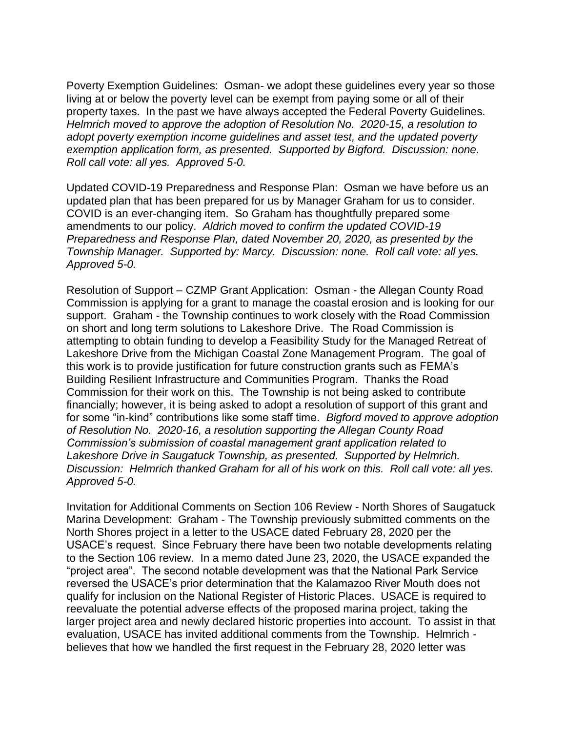Poverty Exemption Guidelines: Osman- we adopt these guidelines every year so those living at or below the poverty level can be exempt from paying some or all of their property taxes. In the past we have always accepted the Federal Poverty Guidelines. *Helmrich moved to approve the adoption of Resolution No. 2020-15, a resolution to adopt poverty exemption income guidelines and asset test, and the updated poverty exemption application form, as presented. Supported by Bigford. Discussion: none. Roll call vote: all yes. Approved 5-0.*

Updated COVID-19 Preparedness and Response Plan: Osman we have before us an updated plan that has been prepared for us by Manager Graham for us to consider. COVID is an ever-changing item. So Graham has thoughtfully prepared some amendments to our policy. *Aldrich moved to confirm the updated COVID-19 Preparedness and Response Plan, dated November 20, 2020, as presented by the Township Manager. Supported by: Marcy. Discussion: none. Roll call vote: all yes. Approved 5-0.* 

Resolution of Support – CZMP Grant Application: Osman - the Allegan County Road Commission is applying for a grant to manage the coastal erosion and is looking for our support. Graham - the Township continues to work closely with the Road Commission on short and long term solutions to Lakeshore Drive. The Road Commission is attempting to obtain funding to develop a Feasibility Study for the Managed Retreat of Lakeshore Drive from the Michigan Coastal Zone Management Program. The goal of this work is to provide justification for future construction grants such as FEMA's Building Resilient Infrastructure and Communities Program. Thanks the Road Commission for their work on this. The Township is not being asked to contribute financially; however, it is being asked to adopt a resolution of support of this grant and for some "in-kind" contributions like some staff time. *Bigford moved to approve adoption of Resolution No. 2020-16, a resolution supporting the Allegan County Road Commission's submission of coastal management grant application related to Lakeshore Drive in Saugatuck Township, as presented. Supported by Helmrich. Discussion: Helmrich thanked Graham for all of his work on this. Roll call vote: all yes. Approved 5-0.*

Invitation for Additional Comments on Section 106 Review - North Shores of Saugatuck Marina Development: Graham - The Township previously submitted comments on the North Shores project in a letter to the USACE dated February 28, 2020 per the USACE's request. Since February there have been two notable developments relating to the Section 106 review. In a memo dated June 23, 2020, the USACE expanded the "project area". The second notable development was that the National Park Service reversed the USACE's prior determination that the Kalamazoo River Mouth does not qualify for inclusion on the National Register of Historic Places. USACE is required to reevaluate the potential adverse effects of the proposed marina project, taking the larger project area and newly declared historic properties into account. To assist in that evaluation, USACE has invited additional comments from the Township. Helmrich believes that how we handled the first request in the February 28, 2020 letter was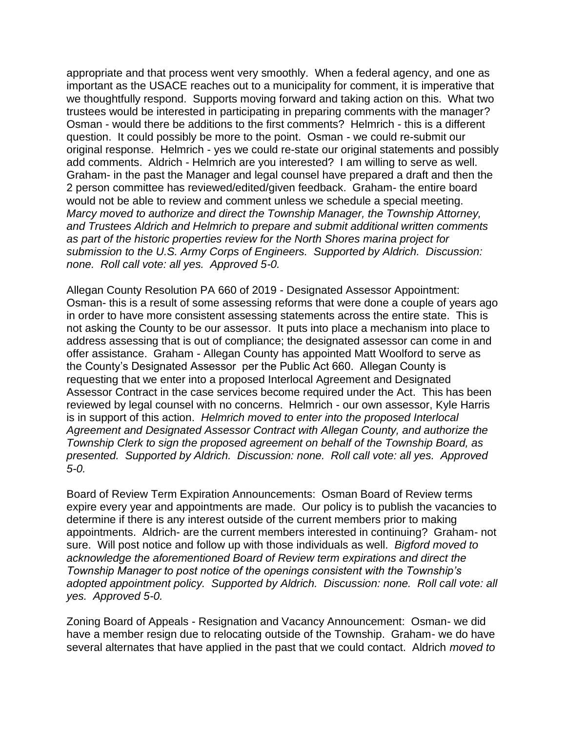appropriate and that process went very smoothly. When a federal agency, and one as important as the USACE reaches out to a municipality for comment, it is imperative that we thoughtfully respond. Supports moving forward and taking action on this. What two trustees would be interested in participating in preparing comments with the manager? Osman - would there be additions to the first comments? Helmrich - this is a different question. It could possibly be more to the point. Osman - we could re-submit our original response. Helmrich - yes we could re-state our original statements and possibly add comments. Aldrich - Helmrich are you interested? I am willing to serve as well. Graham- in the past the Manager and legal counsel have prepared a draft and then the 2 person committee has reviewed/edited/given feedback. Graham- the entire board would not be able to review and comment unless we schedule a special meeting. *Marcy moved to authorize and direct the Township Manager, the Township Attorney, and Trustees Aldrich and Helmrich to prepare and submit additional written comments as part of the historic properties review for the North Shores marina project for submission to the U.S. Army Corps of Engineers. Supported by Aldrich. Discussion: none. Roll call vote: all yes. Approved 5-0.* 

Allegan County Resolution PA 660 of 2019 - Designated Assessor Appointment: Osman- this is a result of some assessing reforms that were done a couple of years ago in order to have more consistent assessing statements across the entire state. This is not asking the County to be our assessor. It puts into place a mechanism into place to address assessing that is out of compliance; the designated assessor can come in and offer assistance. Graham - Allegan County has appointed Matt Woolford to serve as the County's Designated Assessor per the Public Act 660. Allegan County is requesting that we enter into a proposed Interlocal Agreement and Designated Assessor Contract in the case services become required under the Act. This has been reviewed by legal counsel with no concerns. Helmrich - our own assessor, Kyle Harris is in support of this action. *Helmrich moved to enter into the proposed Interlocal Agreement and Designated Assessor Contract with Allegan County, and authorize the Township Clerk to sign the proposed agreement on behalf of the Township Board, as presented. Supported by Aldrich. Discussion: none. Roll call vote: all yes. Approved 5-0.*

Board of Review Term Expiration Announcements: Osman Board of Review terms expire every year and appointments are made. Our policy is to publish the vacancies to determine if there is any interest outside of the current members prior to making appointments. Aldrich- are the current members interested in continuing? Graham- not sure. Will post notice and follow up with those individuals as well. *Bigford moved to acknowledge the aforementioned Board of Review term expirations and direct the Township Manager to post notice of the openings consistent with the Township's adopted appointment policy. Supported by Aldrich. Discussion: none. Roll call vote: all yes. Approved 5-0.* 

Zoning Board of Appeals - Resignation and Vacancy Announcement: Osman- we did have a member resign due to relocating outside of the Township. Graham- we do have several alternates that have applied in the past that we could contact. Aldrich *moved to*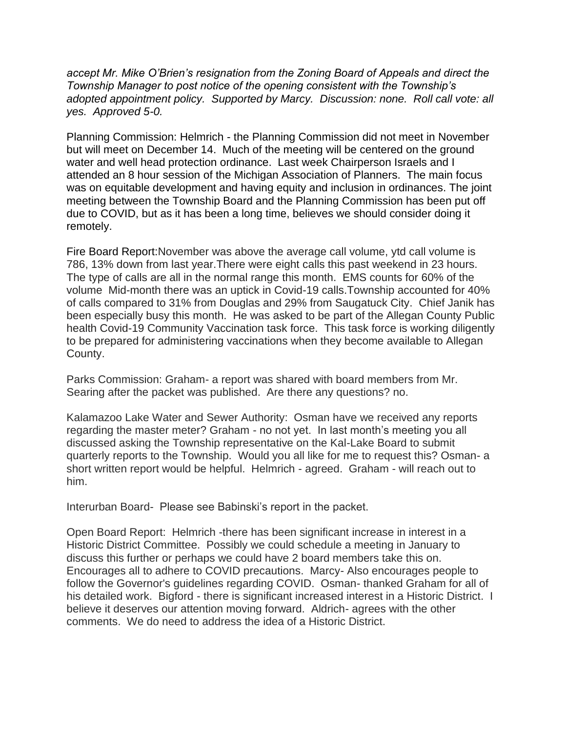*accept Mr. Mike O'Brien's resignation from the Zoning Board of Appeals and direct the Township Manager to post notice of the opening consistent with the Township's adopted appointment policy. Supported by Marcy. Discussion: none. Roll call vote: all yes. Approved 5-0.*

Planning Commission: Helmrich - the Planning Commission did not meet in November but will meet on December 14. Much of the meeting will be centered on the ground water and well head protection ordinance. Last week Chairperson Israels and I attended an 8 hour session of the Michigan Association of Planners. The main focus was on equitable development and having equity and inclusion in ordinances. The joint meeting between the Township Board and the Planning Commission has been put off due to COVID, but as it has been a long time, believes we should consider doing it remotely.

Fire Board Report:November was above the average call volume, ytd call volume is 786, 13% down from last year.There were eight calls this past weekend in 23 hours. The type of calls are all in the normal range this month. EMS counts for 60% of the volume Mid-month there was an uptick in Covid-19 calls.Township accounted for 40% of calls compared to 31% from Douglas and 29% from Saugatuck City. Chief Janik has been especially busy this month. He was asked to be part of the Allegan County Public health Covid-19 Community Vaccination task force. This task force is working diligently to be prepared for administering vaccinations when they become available to Allegan County.

Parks Commission: Graham- a report was shared with board members from Mr. Searing after the packet was published. Are there any questions? no.

Kalamazoo Lake Water and Sewer Authority: Osman have we received any reports regarding the master meter? Graham - no not yet. In last month's meeting you all discussed asking the Township representative on the Kal-Lake Board to submit quarterly reports to the Township. Would you all like for me to request this? Osman- a short written report would be helpful. Helmrich - agreed. Graham - will reach out to him.

Interurban Board- Please see Babinski's report in the packet.

Open Board Report: Helmrich -there has been significant increase in interest in a Historic District Committee. Possibly we could schedule a meeting in January to discuss this further or perhaps we could have 2 board members take this on. Encourages all to adhere to COVID precautions. Marcy- Also encourages people to follow the Governor's guidelines regarding COVID. Osman- thanked Graham for all of his detailed work. Bigford - there is significant increased interest in a Historic District. I believe it deserves our attention moving forward. Aldrich- agrees with the other comments. We do need to address the idea of a Historic District.